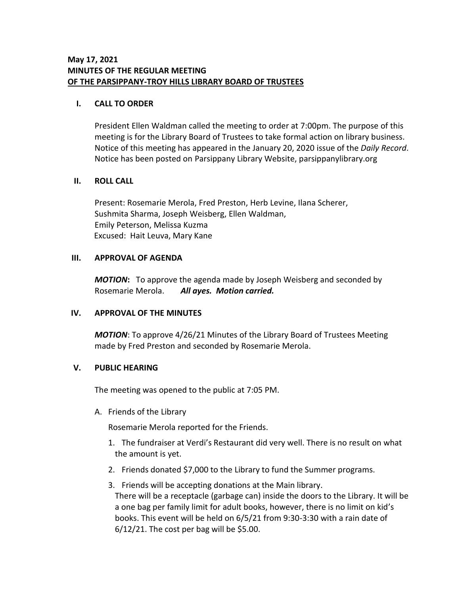## **I. CALL TO ORDER**

President Ellen Waldman called the meeting to order at 7:00pm. The purpose of this meeting is for the Library Board of Trustees to take formal action on library business. Notice of this meeting has appeared in the January 20, 2020 issue of the *Daily Record*. Notice has been posted on Parsippany Library Website, parsippanylibrary.org

## **II. ROLL CALL**

Present: Rosemarie Merola, Fred Preston, Herb Levine, Ilana Scherer, Sushmita Sharma, Joseph Weisberg, Ellen Waldman, Emily Peterson, Melissa Kuzma Excused: Hait Leuva, Mary Kane

## **III. APPROVAL OF AGENDA**

*MOTION***:** To approve the agenda made by Joseph Weisberg and seconded by Rosemarie Merola. *All ayes. Motion carried.*

## **IV. APPROVAL OF THE MINUTES**

*MOTION*: To approve 4/26/21 Minutes of the Library Board of Trustees Meeting made by Fred Preston and seconded by Rosemarie Merola.

## **V. PUBLIC HEARING**

The meeting was opened to the public at 7:05 PM.

A. Friends of the Library

Rosemarie Merola reported for the Friends.

- 1. The fundraiser at Verdi's Restaurant did very well. There is no result on what the amount is yet.
- 2. Friends donated \$7,000 to the Library to fund the Summer programs.
- 3. Friends will be accepting donations at the Main library. There will be a receptacle (garbage can) inside the doors to the Library. It will be a one bag per family limit for adult books, however, there is no limit on kid's books. This event will be held on 6/5/21 from 9:30-3:30 with a rain date of  $6/12/21$ . The cost per bag will be \$5.00.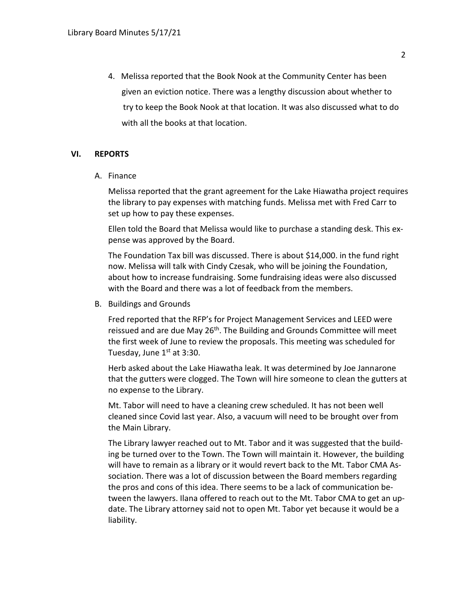4. Melissa reported that the Book Nook at the Community Center has been given an eviction notice. There was a lengthy discussion about whether to try to keep the Book Nook at that location. It was also discussed what to do with all the books at that location.

## **VI. REPORTS**

A. Finance

Melissa reported that the grant agreement for the Lake Hiawatha project requires the library to pay expenses with matching funds. Melissa met with Fred Carr to set up how to pay these expenses.

Ellen told the Board that Melissa would like to purchase a standing desk. This expense was approved by the Board.

The Foundation Tax bill was discussed. There is about \$14,000. in the fund right now. Melissa will talk with Cindy Czesak, who will be joining the Foundation, about how to increase fundraising. Some fundraising ideas were also discussed with the Board and there was a lot of feedback from the members.

B. Buildings and Grounds

Fred reported that the RFP's for Project Management Services and LEED were reissued and are due May 26<sup>th</sup>. The Building and Grounds Committee will meet the first week of June to review the proposals. This meeting was scheduled for Tuesday, June  $1<sup>st</sup>$  at 3:30.

Herb asked about the Lake Hiawatha leak. It was determined by Joe Jannarone that the gutters were clogged. The Town will hire someone to clean the gutters at no expense to the Library.

Mt. Tabor will need to have a cleaning crew scheduled. It has not been well cleaned since Covid last year. Also, a vacuum will need to be brought over from the Main Library.

The Library lawyer reached out to Mt. Tabor and it was suggested that the building be turned over to the Town. The Town will maintain it. However, the building will have to remain as a library or it would revert back to the Mt. Tabor CMA Association. There was a lot of discussion between the Board members regarding the pros and cons of this idea. There seems to be a lack of communication between the lawyers. Ilana offered to reach out to the Mt. Tabor CMA to get an update. The Library attorney said not to open Mt. Tabor yet because it would be a liability.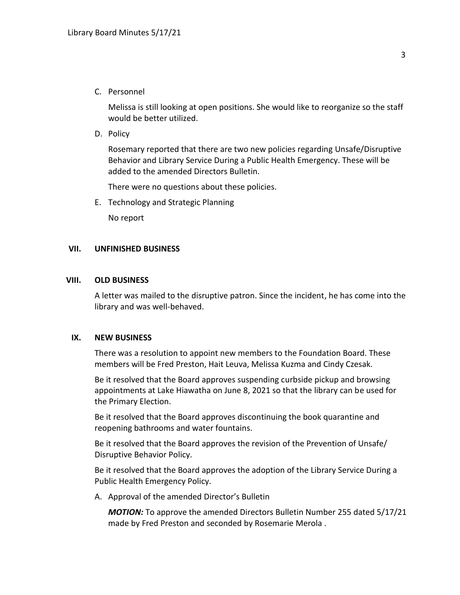C. Personnel

Melissa is still looking at open positions. She would like to reorganize so the staff would be better utilized.

D. Policy

Rosemary reported that there are two new policies regarding Unsafe/Disruptive Behavior and Library Service During a Public Health Emergency. These will be added to the amended Directors Bulletin.

There were no questions about these policies.

E. Technology and Strategic Planning

No report

#### **VII. UNFINISHED BUSINESS**

#### **VIII. OLD BUSINESS**

A letter was mailed to the disruptive patron. Since the incident, he has come into the library and was well-behaved.

#### **IX. NEW BUSINESS**

There was a resolution to appoint new members to the Foundation Board. These members will be Fred Preston, Hait Leuva, Melissa Kuzma and Cindy Czesak.

Be it resolved that the Board approves suspending curbside pickup and browsing appointments at Lake Hiawatha on June 8, 2021 so that the library can be used for the Primary Election.

Be it resolved that the Board approves discontinuing the book quarantine and reopening bathrooms and water fountains.

Be it resolved that the Board approves the revision of the Prevention of Unsafe/ Disruptive Behavior Policy.

Be it resolved that the Board approves the adoption of the Library Service During a Public Health Emergency Policy.

A. Approval of the amended Director's Bulletin

*MOTION:* To approve the amended Directors Bulletin Number 255 dated 5/17/21 made by Fred Preston and seconded by Rosemarie Merola .